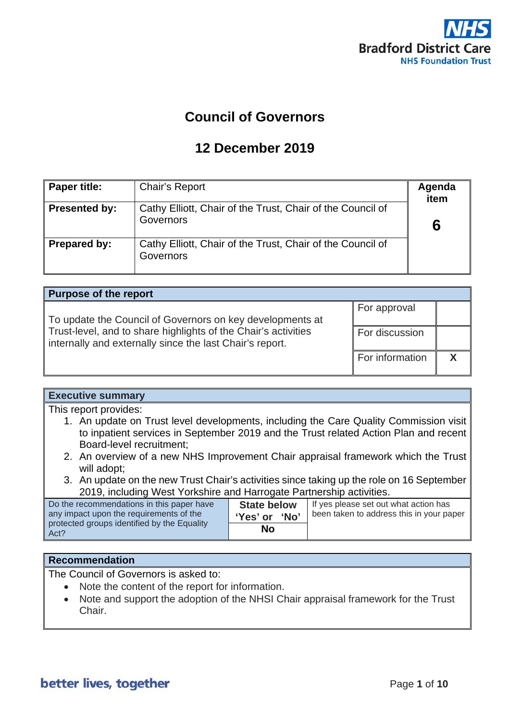

# **Council of Governors**

# **12 December 2019**

| Paper title:         | Chair's Report                                                          | Agenda<br>item |
|----------------------|-------------------------------------------------------------------------|----------------|
| <b>Presented by:</b> | Cathy Elliott, Chair of the Trust, Chair of the Council of<br>Governors |                |
| <b>Prepared by:</b>  | Cathy Elliott, Chair of the Trust, Chair of the Council of<br>Governors |                |

| <b>Purpose of the report</b>                                                                                               |                 |  |
|----------------------------------------------------------------------------------------------------------------------------|-----------------|--|
| To update the Council of Governors on key developments at                                                                  | For approval    |  |
| Trust-level, and to share highlights of the Chair's activities<br>internally and externally since the last Chair's report. | For discussion  |  |
|                                                                                                                            | For information |  |

## **Executive summary**

This report provides:

- 1. An update on Trust level developments, including the Care Quality Commission visit to inpatient services in September 2019 and the Trust related Action Plan and recent Board-level recruitment;
- 2. An overview of a new NHS Improvement Chair appraisal framework which the Trust will adopt;
- 3. An update on the new Trust Chair's activities since taking up the role on 16 September 2019, including West Yorkshire and Harrogate Partnership activities.

| Do the recommendations in this paper have<br>any impact upon the requirements of the<br>protected groups identified by the Equality<br>Act? | <b>State below</b><br>ʻNo'<br>'Yes' or | If yes please set out what action has<br>been taken to address this in your paper |
|---------------------------------------------------------------------------------------------------------------------------------------------|----------------------------------------|-----------------------------------------------------------------------------------|
|                                                                                                                                             | No                                     |                                                                                   |

## **Recommendation**

The Council of Governors is asked to:

- Note the content of the report for information.
- Note and support the adoption of the NHSI Chair appraisal framework for the Trust Chair.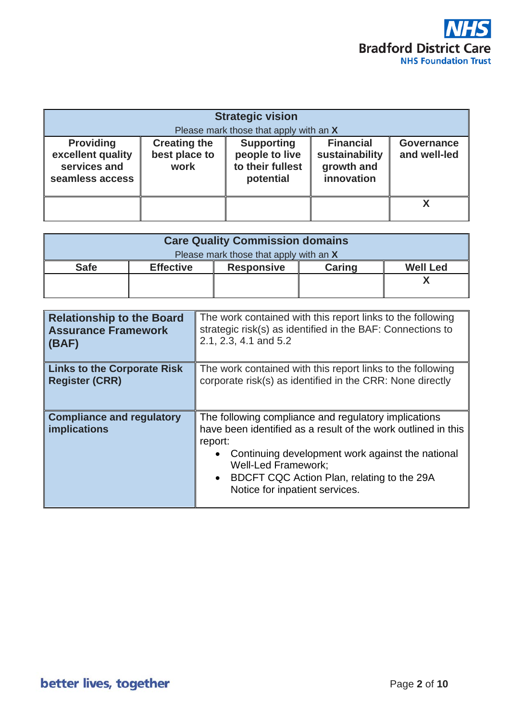

| <b>Strategic vision</b><br>Please mark those that apply with an X        |                                              |                                                                      |                                                                |                                   |
|--------------------------------------------------------------------------|----------------------------------------------|----------------------------------------------------------------------|----------------------------------------------------------------|-----------------------------------|
| <b>Providing</b><br>excellent quality<br>services and<br>seamless access | <b>Creating the</b><br>best place to<br>work | <b>Supporting</b><br>people to live<br>to their fullest<br>potential | <b>Financial</b><br>sustainability<br>growth and<br>innovation | <b>Governance</b><br>and well-led |
|                                                                          |                                              |                                                                      |                                                                |                                   |

| <b>Care Quality Commission domains</b> |                  |                   |               |                 |
|----------------------------------------|------------------|-------------------|---------------|-----------------|
| Please mark those that apply with an X |                  |                   |               |                 |
| <b>Safe</b>                            | <b>Effective</b> | <b>Responsive</b> | <b>Caring</b> | <b>Well Led</b> |
|                                        |                  |                   |               |                 |
|                                        |                  |                   |               |                 |

| <b>Relationship to the Board</b>                 | The work contained with this report links to the following                                                                                                                                                                                                                                                                   |
|--------------------------------------------------|------------------------------------------------------------------------------------------------------------------------------------------------------------------------------------------------------------------------------------------------------------------------------------------------------------------------------|
| <b>Assurance Framework</b>                       | strategic risk(s) as identified in the BAF: Connections to                                                                                                                                                                                                                                                                   |
| (BAF)                                            | 2.1, 2.3, 4.1 and 5.2                                                                                                                                                                                                                                                                                                        |
| <b>Links to the Corporate Risk</b>               | The work contained with this report links to the following                                                                                                                                                                                                                                                                   |
| <b>Register (CRR)</b>                            | corporate risk(s) as identified in the CRR: None directly                                                                                                                                                                                                                                                                    |
| <b>Compliance and regulatory</b><br>implications | The following compliance and regulatory implications<br>have been identified as a result of the work outlined in this<br>report:<br>Continuing development work against the national<br>$\bullet$<br><b>Well-Led Framework:</b><br>BDCFT CQC Action Plan, relating to the 29A<br>$\bullet$<br>Notice for inpatient services. |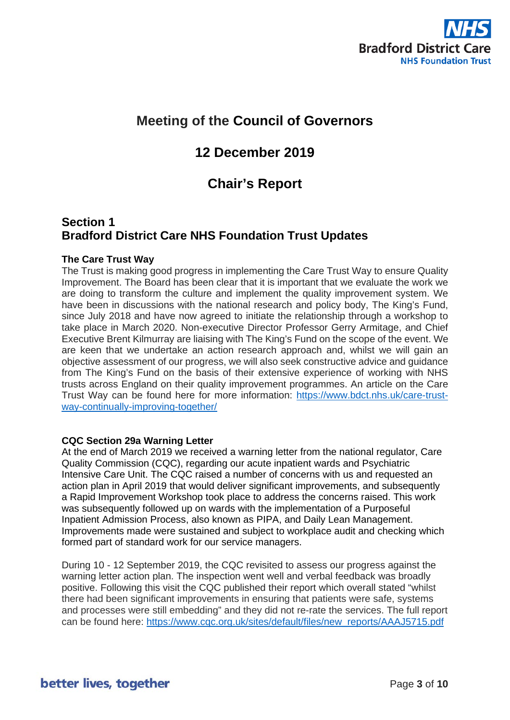

# **Meeting of the Council of Governors**

## **12 December 2019**

## **Chair's Report**

## **Section 1 Bradford District Care NHS Foundation Trust Updates**

## **The Care Trust Way**

The Trust is making good progress in implementing the Care Trust Way to ensure Quality Improvement. The Board has been clear that it is important that we evaluate the work we are doing to transform the culture and implement the quality improvement system. We have been in discussions with the national research and policy body, The King's Fund, since July 2018 and have now agreed to initiate the relationship through a workshop to take place in March 2020. Non-executive Director Professor Gerry Armitage, and Chief Executive Brent Kilmurray are liaising with The King's Fund on the scope of the event. We are keen that we undertake an action research approach and, whilst we will gain an objective assessment of our progress, we will also seek constructive advice and guidance from The King's Fund on the basis of their extensive experience of working with NHS trusts across England on their quality improvement programmes. An article on the Care Trust Way can be found here for more information: [https://www.bdct.nhs.uk/care-trust](https://www.bdct.nhs.uk/care-trust-way-continually-improving-together/)[way-continually-improving-together/](https://www.bdct.nhs.uk/care-trust-way-continually-improving-together/)

## **CQC Section 29a Warning Letter**

At the end of March 2019 we received a warning letter from the national regulator, Care Quality Commission (CQC), regarding our acute inpatient wards and Psychiatric Intensive Care Unit. The CQC raised a number of concerns with us and requested an action plan in April 2019 that would deliver significant improvements, and subsequently a Rapid Improvement Workshop took place to address the concerns raised. This work was subsequently followed up on wards with the implementation of a Purposeful Inpatient Admission Process, also known as PIPA, and Daily Lean Management. Improvements made were sustained and subject to workplace audit and checking which formed part of standard work for our service managers.

During 10 - 12 September 2019, the CQC revisited to assess our progress against the warning letter action plan. The inspection went well and verbal feedback was broadly positive. Following this visit the CQC published their report which overall stated "whilst there had been significant improvements in ensuring that patients were safe, systems and processes were still embedding" and they did not re-rate the services. The full report can be found here: [https://www.cqc.org.uk/sites/default/files/new\\_reports/AAAJ5715.pdf](https://www.cqc.org.uk/sites/default/files/new_reports/AAAJ5715.pdf)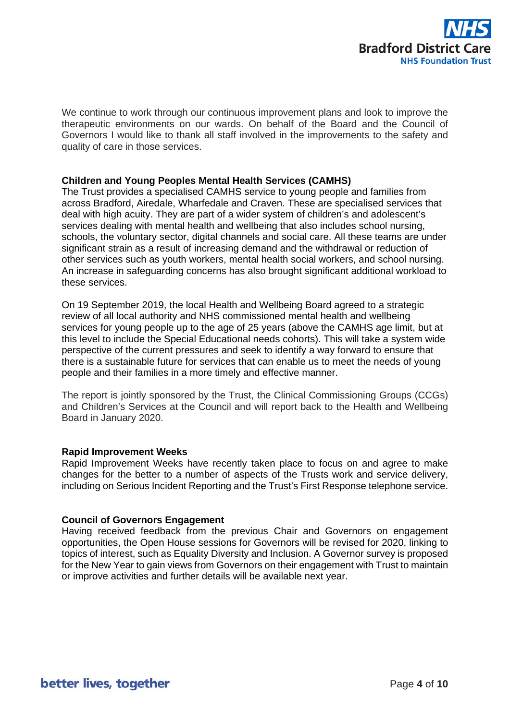

We continue to work through our continuous improvement plans and look to improve the therapeutic environments on our wards. On behalf of the Board and the Council of Governors I would like to thank all staff involved in the improvements to the safety and quality of care in those services.

### **Children and Young Peoples Mental Health Services (CAMHS)**

The Trust provides a specialised CAMHS service to young people and families from across Bradford, Airedale, Wharfedale and Craven. These are specialised services that deal with high acuity. They are part of a wider system of children's and adolescent's services dealing with mental health and wellbeing that also includes school nursing, schools, the voluntary sector, digital channels and social care. All these teams are under significant strain as a result of increasing demand and the withdrawal or reduction of other services such as youth workers, mental health social workers, and school nursing. An increase in safeguarding concerns has also brought significant additional workload to these services.

On 19 September 2019, the local Health and Wellbeing Board agreed to a strategic review of all local authority and NHS commissioned mental health and wellbeing services for young people up to the age of 25 years (above the CAMHS age limit, but at this level to include the Special Educational needs cohorts). This will take a system wide perspective of the current pressures and seek to identify a way forward to ensure that there is a sustainable future for services that can enable us to meet the needs of young people and their families in a more timely and effective manner.

The report is jointly sponsored by the Trust, the Clinical Commissioning Groups (CCGs) and Children's Services at the Council and will report back to the Health and Wellbeing Board in January 2020.

### **Rapid Improvement Weeks**

Rapid Improvement Weeks have recently taken place to focus on and agree to make changes for the better to a number of aspects of the Trusts work and service delivery, including on Serious Incident Reporting and the Trust's First Response telephone service.

## **Council of Governors Engagement**

Having received feedback from the previous Chair and Governors on engagement opportunities, the Open House sessions for Governors will be revised for 2020, linking to topics of interest, such as Equality Diversity and Inclusion. A Governor survey is proposed for the New Year to gain views from Governors on their engagement with Trust to maintain or improve activities and further details will be available next year.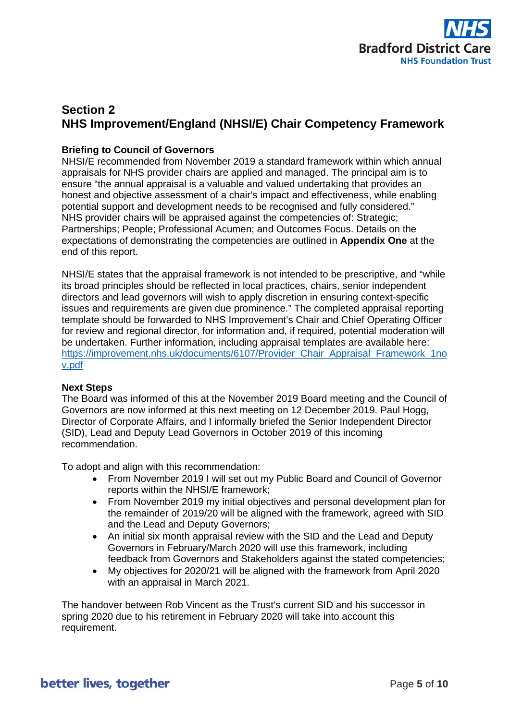

## **Section 2 NHS Improvement/England (NHSI/E) Chair Competency Framework**

## **Briefing to Council of Governors**

NHSI/E recommended from November 2019 a standard framework within which annual appraisals for NHS provider chairs are applied and managed. The principal aim is to ensure "the annual appraisal is a valuable and valued undertaking that provides an honest and objective assessment of a chair's impact and effectiveness, while enabling potential support and development needs to be recognised and fully considered." NHS provider chairs will be appraised against the competencies of: Strategic; Partnerships; People; Professional Acumen; and Outcomes Focus. Details on the expectations of demonstrating the competencies are outlined in **Appendix One** at the end of this report.

NHSI/E states that the appraisal framework is not intended to be prescriptive, and "while its broad principles should be reflected in local practices, chairs, senior independent directors and lead governors will wish to apply discretion in ensuring context-specific issues and requirements are given due prominence." The completed appraisal reporting template should be forwarded to NHS Improvement's Chair and Chief Operating Officer for review and regional director, for information and, if required, potential moderation will be undertaken. Further information, including appraisal templates are available here: [https://improvement.nhs.uk/documents/6107/Provider\\_Chair\\_Appraisal\\_Framework\\_1no](https://improvement.nhs.uk/documents/6107/Provider_Chair_Appraisal_Framework_1nov.pdf) [v.pdf](https://improvement.nhs.uk/documents/6107/Provider_Chair_Appraisal_Framework_1nov.pdf)

### **Next Steps**

The Board was informed of this at the November 2019 Board meeting and the Council of Governors are now informed at this next meeting on 12 December 2019. Paul Hogg, Director of Corporate Affairs, and I informally briefed the Senior Independent Director (SID), Lead and Deputy Lead Governors in October 2019 of this incoming recommendation.

To adopt and align with this recommendation:

- From November 2019 I will set out my Public Board and Council of Governor reports within the NHSI/E framework;
- From November 2019 my initial objectives and personal development plan for the remainder of 2019/20 will be aligned with the framework, agreed with SID and the Lead and Deputy Governors;
- An initial six month appraisal review with the SID and the Lead and Deputy Governors in February/March 2020 will use this framework, including feedback from Governors and Stakeholders against the stated competencies;
- My objectives for 2020/21 will be aligned with the framework from April 2020 with an appraisal in March 2021.

The handover between Rob Vincent as the Trust's current SID and his successor in spring 2020 due to his retirement in February 2020 will take into account this requirement.

better lives, together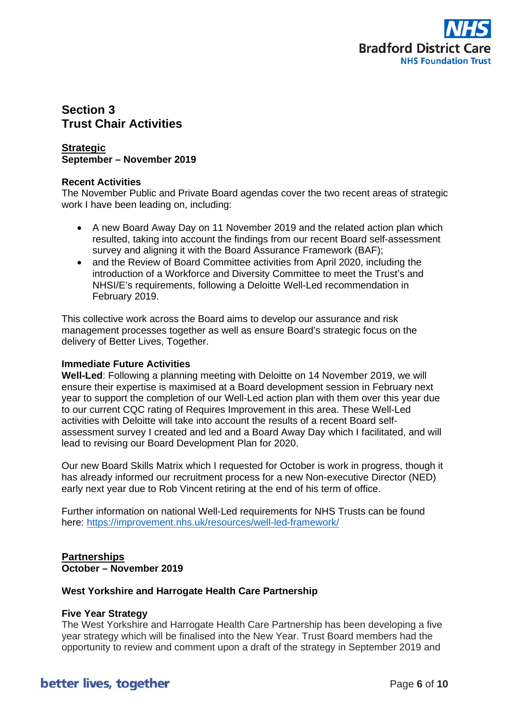

## **Section 3 Trust Chair Activities**

## **Strategic September – November 2019**

### **Recent Activities**

The November Public and Private Board agendas cover the two recent areas of strategic work I have been leading on, including:

- A new Board Away Day on 11 November 2019 and the related action plan which resulted, taking into account the findings from our recent Board self-assessment survey and aligning it with the Board Assurance Framework (BAF);
- and the Review of Board Committee activities from April 2020, including the introduction of a Workforce and Diversity Committee to meet the Trust's and NHSI/E's requirements, following a Deloitte Well-Led recommendation in February 2019.

This collective work across the Board aims to develop our assurance and risk management processes together as well as ensure Board's strategic focus on the delivery of Better Lives, Together.

## **Immediate Future Activities**

**Well-Led**: Following a planning meeting with Deloitte on 14 November 2019, we will ensure their expertise is maximised at a Board development session in February next year to support the completion of our Well-Led action plan with them over this year due to our current CQC rating of Requires Improvement in this area. These Well-Led activities with Deloitte will take into account the results of a recent Board selfassessment survey I created and led and a Board Away Day which I facilitated, and will lead to revising our Board Development Plan for 2020.

Our new Board Skills Matrix which I requested for October is work in progress, though it has already informed our recruitment process for a new Non-executive Director (NED) early next year due to Rob Vincent retiring at the end of his term of office.

Further information on national Well-Led requirements for NHS Trusts can be found here:<https://improvement.nhs.uk/resources/well-led-framework/>

## **Partnerships October – November 2019**

## **West Yorkshire and Harrogate Health Care Partnership**

## **Five Year Strategy**

The West Yorkshire and Harrogate Health Care Partnership has been developing a five year strategy which will be finalised into the New Year. Trust Board members had the opportunity to review and comment upon a draft of the strategy in September 2019 and

## better lives, together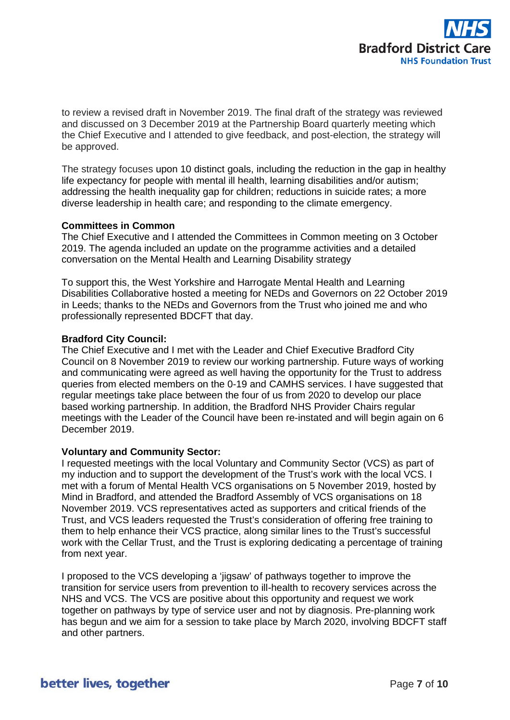

to review a revised draft in November 2019. The final draft of the strategy was reviewed and discussed on 3 December 2019 at the Partnership Board quarterly meeting which the Chief Executive and I attended to give feedback, and post-election, the strategy will be approved.

The strategy focuses upon 10 distinct goals, including the reduction in the gap in healthy life expectancy for people with mental ill health, learning disabilities and/or autism; addressing the health inequality gap for children; reductions in suicide rates; a more diverse leadership in health care; and responding to the climate emergency.

### **Committees in Common**

The Chief Executive and I attended the Committees in Common meeting on 3 October 2019. The agenda included an update on the programme activities and a detailed conversation on the Mental Health and Learning Disability strategy

To support this, the West Yorkshire and Harrogate Mental Health and Learning Disabilities Collaborative hosted a meeting for NEDs and Governors on 22 October 2019 in Leeds; thanks to the NEDs and Governors from the Trust who joined me and who professionally represented BDCFT that day.

### **Bradford City Council:**

The Chief Executive and I met with the Leader and Chief Executive Bradford City Council on 8 November 2019 to review our working partnership. Future ways of working and communicating were agreed as well having the opportunity for the Trust to address queries from elected members on the 0-19 and CAMHS services. I have suggested that regular meetings take place between the four of us from 2020 to develop our place based working partnership. In addition, the Bradford NHS Provider Chairs regular meetings with the Leader of the Council have been re-instated and will begin again on 6 December 2019.

### **Voluntary and Community Sector:**

I requested meetings with the local Voluntary and Community Sector (VCS) as part of my induction and to support the development of the Trust's work with the local VCS. I met with a forum of Mental Health VCS organisations on 5 November 2019, hosted by Mind in Bradford, and attended the Bradford Assembly of VCS organisations on 18 November 2019. VCS representatives acted as supporters and critical friends of the Trust, and VCS leaders requested the Trust's consideration of offering free training to them to help enhance their VCS practice, along similar lines to the Trust's successful work with the Cellar Trust, and the Trust is exploring dedicating a percentage of training from next year.

I proposed to the VCS developing a 'jigsaw' of pathways together to improve the transition for service users from prevention to ill-health to recovery services across the NHS and VCS. The VCS are positive about this opportunity and request we work together on pathways by type of service user and not by diagnosis. Pre-planning work has begun and we aim for a session to take place by March 2020, involving BDCFT staff and other partners.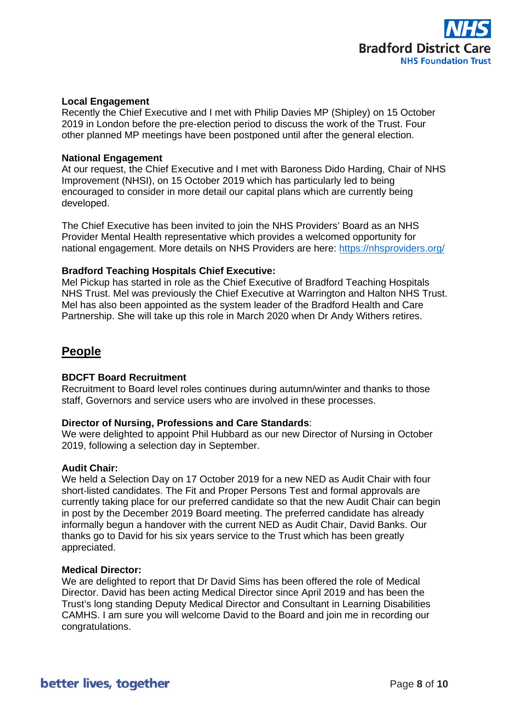

### **Local Engagement**

Recently the Chief Executive and I met with Philip Davies MP (Shipley) on 15 October 2019 in London before the pre-election period to discuss the work of the Trust. Four other planned MP meetings have been postponed until after the general election.

### **National Engagement**

At our request, the Chief Executive and I met with Baroness Dido Harding, Chair of NHS Improvement (NHSI), on 15 October 2019 which has particularly led to being encouraged to consider in more detail our capital plans which are currently being developed.

The Chief Executive has been invited to join the NHS Providers' Board as an NHS Provider Mental Health representative which provides a welcomed opportunity for national engagement. More details on NHS Providers are here:<https://nhsproviders.org/>

#### **Bradford Teaching Hospitals Chief Executive:**

Mel Pickup has started in role as the Chief Executive of Bradford Teaching Hospitals NHS Trust. Mel was previously the Chief Executive at Warrington and Halton NHS Trust. Mel has also been appointed as the system leader of the Bradford Health and Care Partnership. She will take up this role in March 2020 when Dr Andy Withers retires.

## **People**

### **BDCFT Board Recruitment**

Recruitment to Board level roles continues during autumn/winter and thanks to those staff, Governors and service users who are involved in these processes.

#### **Director of Nursing, Professions and Care Standards**:

We were delighted to appoint Phil Hubbard as our new Director of Nursing in October 2019, following a selection day in September.

#### **Audit Chair:**

We held a Selection Day on 17 October 2019 for a new NED as Audit Chair with four short-listed candidates. The Fit and Proper Persons Test and formal approvals are currently taking place for our preferred candidate so that the new Audit Chair can begin in post by the December 2019 Board meeting. The preferred candidate has already informally begun a handover with the current NED as Audit Chair, David Banks. Our thanks go to David for his six years service to the Trust which has been greatly appreciated.

#### **Medical Director:**

We are delighted to report that Dr David Sims has been offered the role of Medical Director. David has been acting Medical Director since April 2019 and has been the Trust's long standing Deputy Medical Director and Consultant in Learning Disabilities CAMHS. I am sure you will welcome David to the Board and join me in recording our congratulations.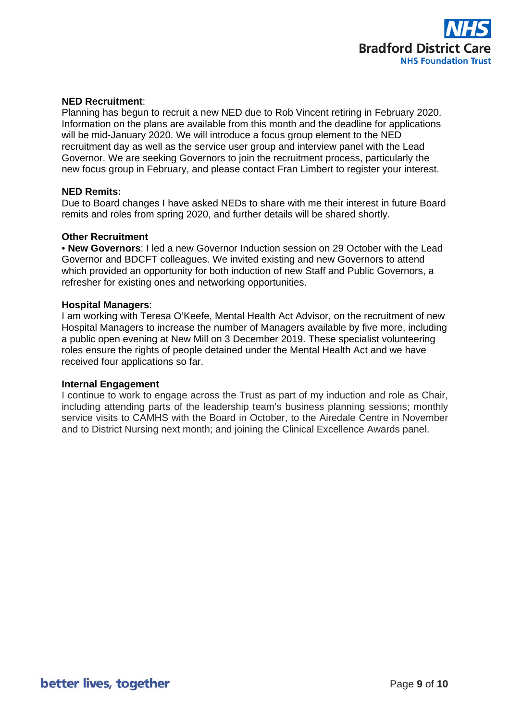

### **NED Recruitment**:

Planning has begun to recruit a new NED due to Rob Vincent retiring in February 2020. Information on the plans are available from this month and the deadline for applications will be mid-January 2020. We will introduce a focus group element to the NED recruitment day as well as the service user group and interview panel with the Lead Governor. We are seeking Governors to join the recruitment process, particularly the new focus group in February, and please contact Fran Limbert to register your interest.

### **NED Remits:**

Due to Board changes I have asked NEDs to share with me their interest in future Board remits and roles from spring 2020, and further details will be shared shortly.

### **Other Recruitment**

• **New Governors**: I led a new Governor Induction session on 29 October with the Lead Governor and BDCFT colleagues. We invited existing and new Governors to attend which provided an opportunity for both induction of new Staff and Public Governors, a refresher for existing ones and networking opportunities.

#### **Hospital Managers**:

I am working with Teresa O'Keefe, Mental Health Act Advisor, on the recruitment of new Hospital Managers to increase the number of Managers available by five more, including a public open evening at New Mill on 3 December 2019. These specialist volunteering roles ensure the rights of people detained under the Mental Health Act and we have received four applications so far.

### **Internal Engagement**

I continue to work to engage across the Trust as part of my induction and role as Chair, including attending parts of the leadership team's business planning sessions; monthly service visits to CAMHS with the Board in October, to the Airedale Centre in November and to District Nursing next month; and joining the Clinical Excellence Awards panel.